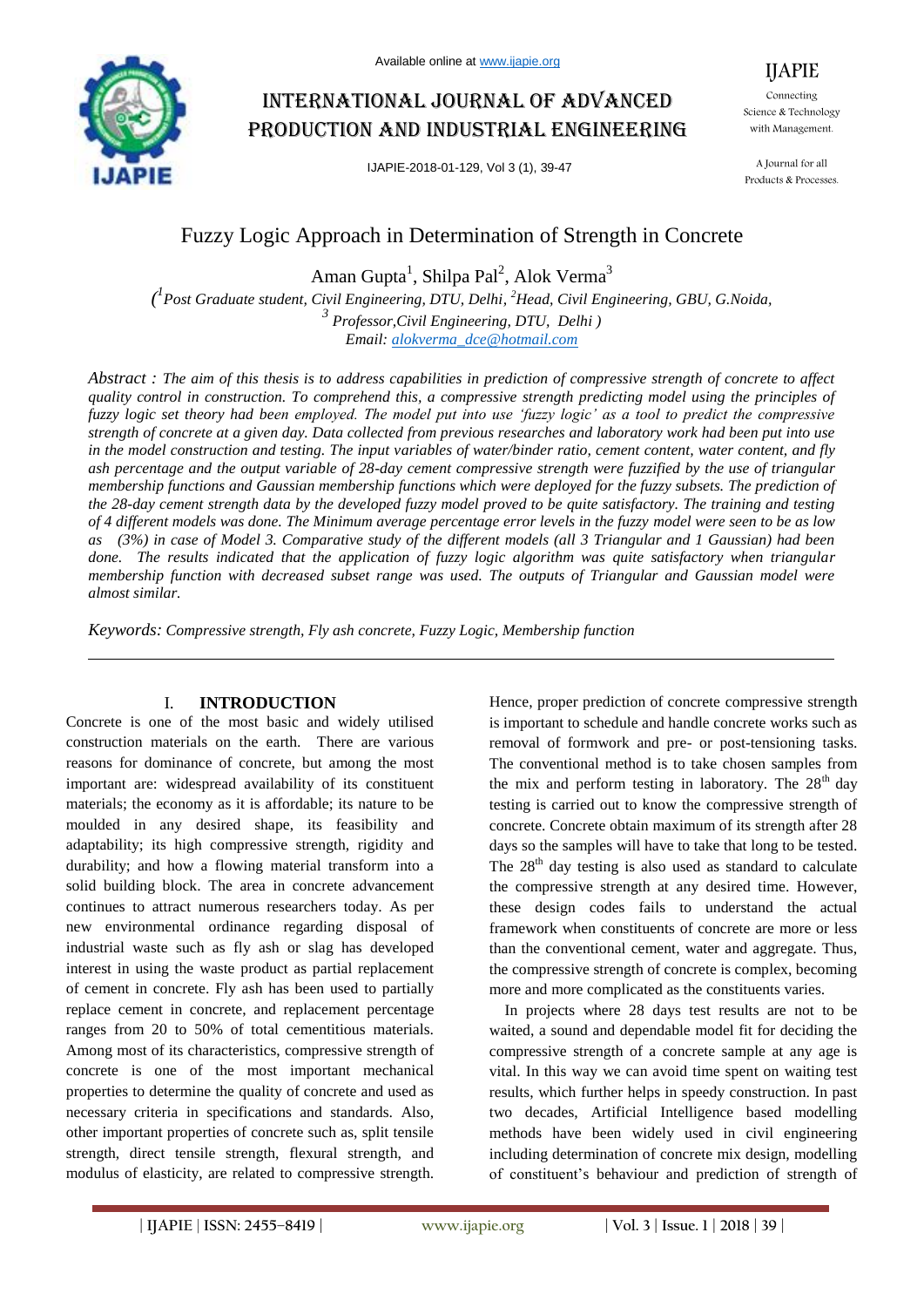

# International journal of advanced production and industrial engineering

IJAPIE-2018-01-129, Vol 3 (1), 39-47

IJAPIE

Connecting Science & Technology with Management.

A Journal for all Products & Processes.

## Fuzzy Logic Approach in Determination of Strength in Concrete

Aman Gupta<sup>1</sup>, Shilpa Pal<sup>2</sup>, Alok Verma<sup>3</sup>

*( 1 Post Graduate student, Civil Engineering, DTU, Delhi, <sup>2</sup>Head, Civil Engineering, GBU, G.Noida, 3 Professor,Civil Engineering, DTU, Delhi ) Email: alokverma\_dce@hotmail.com*

*Abstract : The aim of this thesis is to address capabilities in prediction of compressive strength of concrete to affect quality control in construction. To comprehend this, a compressive strength predicting model using the principles of fuzzy logic set theory had been employed. The model put into use 'fuzzy logic' as a tool to predict the compressive strength of concrete at a given day. Data collected from previous researches and laboratory work had been put into use in the model construction and testing. The input variables of water/binder ratio, cement content, water content, and fly ash percentage and the output variable of 28-day cement compressive strength were fuzzified by the use of triangular membership functions and Gaussian membership functions which were deployed for the fuzzy subsets. The prediction of the 28-day cement strength data by the developed fuzzy model proved to be quite satisfactory. The training and testing of 4 different models was done. The Minimum average percentage error levels in the fuzzy model were seen to be as low as (3%) in case of Model 3. Comparative study of the different models (all 3 Triangular and 1 Gaussian) had been*  done. The results indicated that the application of fuzzy logic algorithm was quite satisfactory when triangular *membership function with decreased subset range was used. The outputs of Triangular and Gaussian model were almost similar.*

*Keywords: Compressive strength, Fly ash concrete, Fuzzy Logic, Membership function*

## I. **INTRODUCTION**

Concrete is one of the most basic and widely utilised construction materials on the earth. There are various reasons for dominance of concrete, but among the most important are: widespread availability of its constituent materials; the economy as it is affordable; its nature to be moulded in any desired shape, its feasibility and adaptability; its high compressive strength, rigidity and durability; and how a flowing material transform into a solid building block. The area in concrete advancement continues to attract numerous researchers today. As per new environmental ordinance regarding disposal of industrial waste such as fly ash or slag has developed interest in using the waste product as partial replacement of cement in concrete. Fly ash has been used to partially replace cement in concrete, and replacement percentage ranges from 20 to 50% of total cementitious materials. Among most of its characteristics, compressive strength of concrete is one of the most important mechanical properties to determine the quality of concrete and used as necessary criteria in specifications and standards. Also, other important properties of concrete such as, split tensile strength, direct tensile strength, flexural strength, and modulus of elasticity, are related to compressive strength.

Hence, proper prediction of concrete compressive strength is important to schedule and handle concrete works such as removal of formwork and pre- or post-tensioning tasks. The conventional method is to take chosen samples from the mix and perform testing in laboratory. The  $28<sup>th</sup>$  day testing is carried out to know the compressive strength of concrete. Concrete obtain maximum of its strength after 28 days so the samples will have to take that long to be tested. The  $28<sup>th</sup>$  day testing is also used as standard to calculate the compressive strength at any desired time. However, these design codes fails to understand the actual framework when constituents of concrete are more or less than the conventional cement, water and aggregate. Thus, the compressive strength of concrete is complex, becoming more and more complicated as the constituents varies.

In projects where 28 days test results are not to be waited, a sound and dependable model fit for deciding the compressive strength of a concrete sample at any age is vital. In this way we can avoid time spent on waiting test results, which further helps in speedy construction. In past two decades, Artificial Intelligence based modelling methods have been widely used in civil engineering including determination of concrete mix design, modelling of constituent's behaviour and prediction of strength of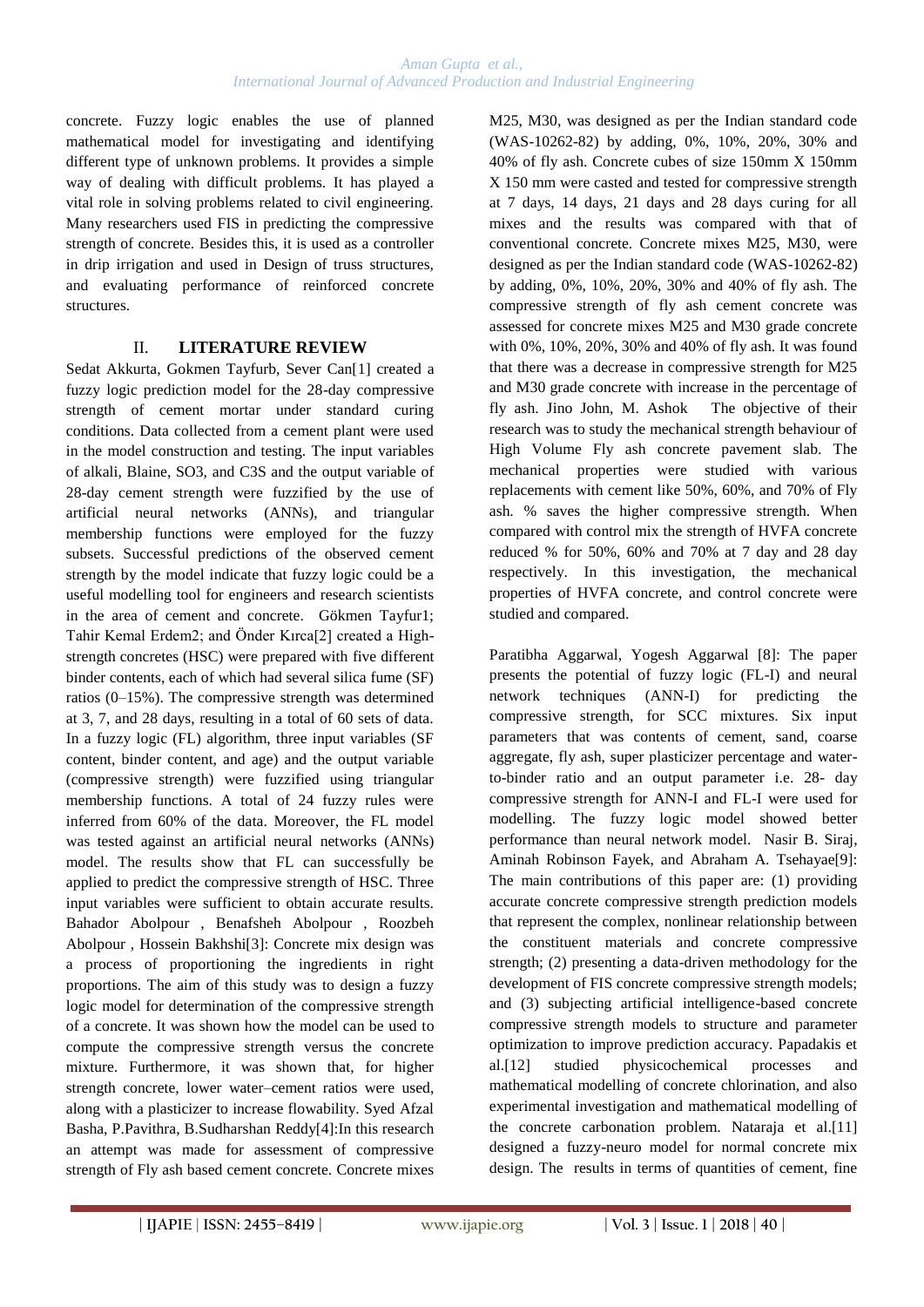concrete. Fuzzy logic enables the use of planned mathematical model for investigating and identifying different type of unknown problems. It provides a simple way of dealing with difficult problems. It has played a vital role in solving problems related to civil engineering. Many researchers used FIS in predicting the compressive strength of concrete. Besides this, it is used as a controller in drip irrigation and used in Design of truss structures, and evaluating performance of reinforced concrete structures.

## II. **LITERATURE REVIEW**

Sedat Akkurta, Gokmen Tayfurb, Sever Can[1] created a fuzzy logic prediction model for the 28-day compressive strength of cement mortar under standard curing conditions. Data collected from a cement plant were used in the model construction and testing. The input variables of alkali, Blaine, SO3, and C3S and the output variable of 28-day cement strength were fuzzified by the use of artificial neural networks (ANNs), and triangular membership functions were employed for the fuzzy subsets. Successful predictions of the observed cement strength by the model indicate that fuzzy logic could be a useful modelling tool for engineers and research scientists in the area of cement and concrete. Gökmen Tayfur1; Tahir Kemal Erdem2; and Önder Kırca[2] created a Highstrength concretes (HSC) were prepared with five different binder contents, each of which had several silica fume (SF) ratios (0–15%). The compressive strength was determined at 3, 7, and 28 days, resulting in a total of 60 sets of data. In a fuzzy logic (FL) algorithm, three input variables (SF content, binder content, and age) and the output variable (compressive strength) were fuzzified using triangular membership functions. A total of 24 fuzzy rules were inferred from 60% of the data. Moreover, the FL model was tested against an artificial neural networks (ANNs) model. The results show that FL can successfully be applied to predict the compressive strength of HSC. Three input variables were sufficient to obtain accurate results. Bahador Abolpour , Benafsheh Abolpour , Roozbeh Abolpour , Hossein Bakhshi[3]: Concrete mix design was a process of proportioning the ingredients in right proportions. The aim of this study was to design a fuzzy logic model for determination of the compressive strength of a concrete. It was shown how the model can be used to compute the compressive strength versus the concrete mixture. Furthermore, it was shown that, for higher strength concrete, lower water–cement ratios were used, along with a plasticizer to increase flowability. Syed Afzal Basha, P.Pavithra, B.Sudharshan Reddy[4]:In this research an attempt was made for assessment of compressive strength of Fly ash based cement concrete. Concrete mixes

M25, M30, was designed as per the Indian standard code (WAS-10262-82) by adding, 0%, 10%, 20%, 30% and 40% of fly ash. Concrete cubes of size 150mm X 150mm X 150 mm were casted and tested for compressive strength at 7 days, 14 days, 21 days and 28 days curing for all mixes and the results was compared with that of conventional concrete. Concrete mixes M25, M30, were designed as per the Indian standard code (WAS-10262-82) by adding, 0%, 10%, 20%, 30% and 40% of fly ash. The compressive strength of fly ash cement concrete was assessed for concrete mixes M25 and M30 grade concrete with 0%, 10%, 20%, 30% and 40% of fly ash. It was found that there was a decrease in compressive strength for M25 and M30 grade concrete with increase in the percentage of fly ash. Jino John, M. Ashok The objective of their research was to study the mechanical strength behaviour of High Volume Fly ash concrete pavement slab. The mechanical properties were studied with various replacements with cement like 50%, 60%, and 70% of Fly ash. % saves the higher compressive strength. When compared with control mix the strength of HVFA concrete reduced % for 50%, 60% and 70% at 7 day and 28 day respectively. In this investigation, the mechanical properties of HVFA concrete, and control concrete were studied and compared.

Paratibha Aggarwal, Yogesh Aggarwal [8]: The paper presents the potential of fuzzy logic (FL-I) and neural network techniques (ANN-I) for predicting the compressive strength, for SCC mixtures. Six input parameters that was contents of cement, sand, coarse aggregate, fly ash, super plasticizer percentage and waterto-binder ratio and an output parameter i.e. 28- day compressive strength for ANN-I and FL-I were used for modelling. The fuzzy logic model showed better performance than neural network model. Nasir B. Siraj, Aminah Robinson Fayek, and Abraham A. Tsehayae[9]: The main contributions of this paper are: (1) providing accurate concrete compressive strength prediction models that represent the complex, nonlinear relationship between the constituent materials and concrete compressive strength; (2) presenting a data-driven methodology for the development of FIS concrete compressive strength models; and (3) subjecting artificial intelligence-based concrete compressive strength models to structure and parameter optimization to improve prediction accuracy. Papadakis et al.[12] studied physicochemical processes and mathematical modelling of concrete chlorination, and also experimental investigation and mathematical modelling of the concrete carbonation problem. Nataraja et al.[11] designed a fuzzy-neuro model for normal concrete mix design. The results in terms of quantities of cement, fine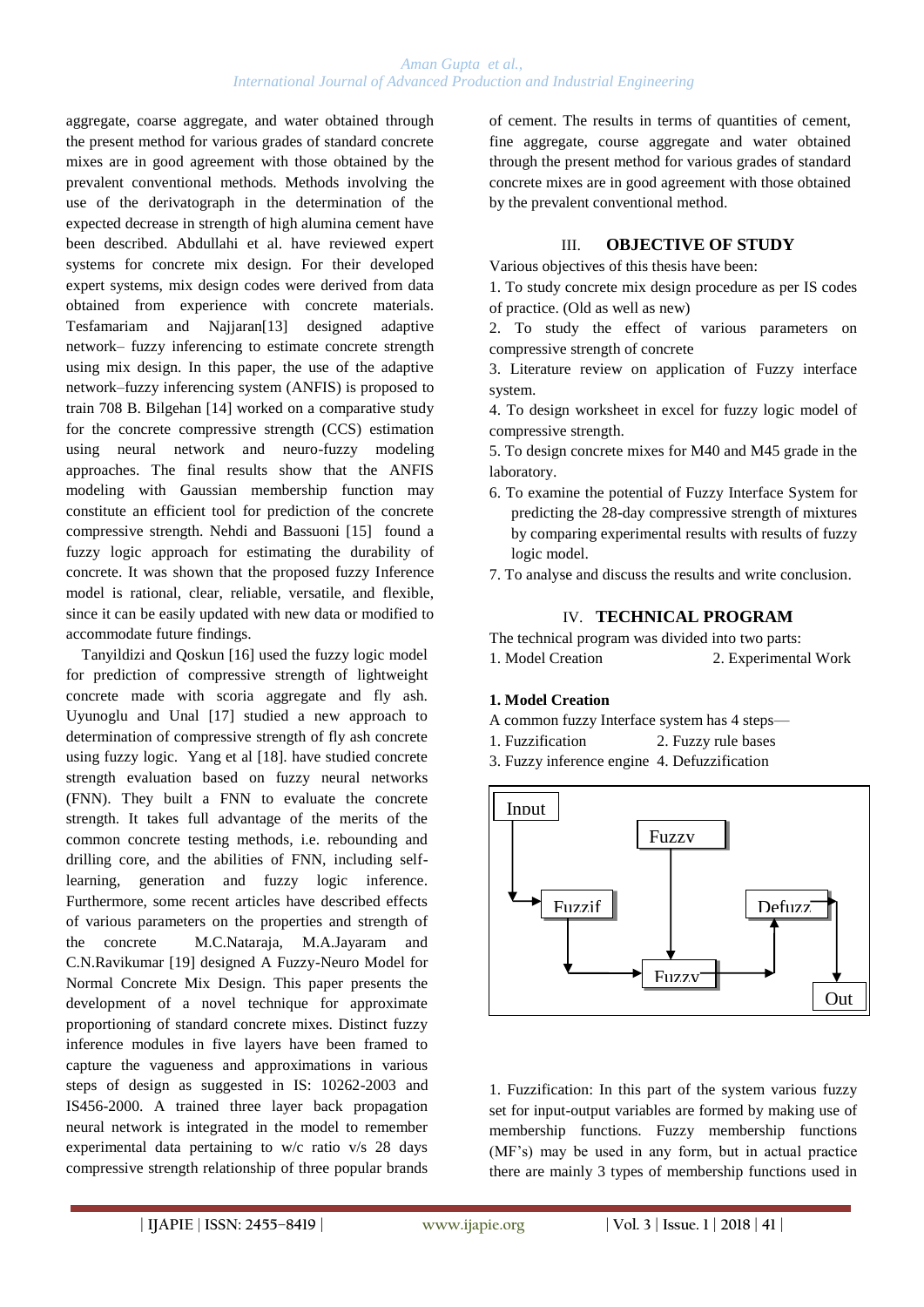aggregate, coarse aggregate, and water obtained through the present method for various grades of standard concrete mixes are in good agreement with those obtained by the prevalent conventional methods. Methods involving the use of the derivatograph in the determination of the expected decrease in strength of high alumina cement have been described. Abdullahi et al. have reviewed expert systems for concrete mix design. For their developed expert systems, mix design codes were derived from data obtained from experience with concrete materials. Tesfamariam and Najjaran[13] designed adaptive network– fuzzy inferencing to estimate concrete strength using mix design. In this paper, the use of the adaptive network–fuzzy inferencing system (ANFIS) is proposed to train 708 B. Bilgehan [14] worked on a comparative study for the concrete compressive strength (CCS) estimation using neural network and neuro-fuzzy modeling approaches. The final results show that the ANFIS modeling with Gaussian membership function may constitute an efficient tool for prediction of the concrete compressive strength. Nehdi and Bassuoni [15] found a fuzzy logic approach for estimating the durability of concrete. It was shown that the proposed fuzzy Inference model is rational, clear, reliable, versatile, and flexible, since it can be easily updated with new data or modified to accommodate future findings.

Tanyildizi and Qoskun [16] used the fuzzy logic model for prediction of compressive strength of lightweight concrete made with scoria aggregate and fly ash. Uyunoglu and Unal [17] studied a new approach to determination of compressive strength of fly ash concrete using fuzzy logic. Yang et al [18]. have studied concrete strength evaluation based on fuzzy neural networks (FNN). They built a FNN to evaluate the concrete strength. It takes full advantage of the merits of the common concrete testing methods, i.e. rebounding and drilling core, and the abilities of FNN, including selflearning, generation and fuzzy logic inference. Furthermore, some recent articles have described effects of various parameters on the properties and strength of the concrete M.C.Nataraja, M.A.Jayaram and C.N.Ravikumar [19] designed A Fuzzy-Neuro Model for Normal Concrete Mix Design. This paper presents the development of a novel technique for approximate proportioning of standard concrete mixes. Distinct fuzzy inference modules in five layers have been framed to capture the vagueness and approximations in various steps of design as suggested in IS: 10262-2003 and IS456-2000. A trained three layer back propagation neural network is integrated in the model to remember experimental data pertaining to w/c ratio v/s 28 days compressive strength relationship of three popular brands

of cement. The results in terms of quantities of cement, fine aggregate, course aggregate and water obtained through the present method for various grades of standard concrete mixes are in good agreement with those obtained by the prevalent conventional method.

#### III. **OBJECTIVE OF STUDY**

Various objectives of this thesis have been:

1. To study concrete mix design procedure as per IS codes of practice. (Old as well as new)

2. To study the effect of various parameters on compressive strength of concrete

3. Literature review on application of Fuzzy interface system.

4. To design worksheet in excel for fuzzy logic model of compressive strength.

5. To design concrete mixes for M40 and M45 grade in the laboratory.

- 6. To examine the potential of Fuzzy Interface System for predicting the 28-day compressive strength of mixtures by comparing experimental results with results of fuzzy logic model.
- 7. To analyse and discuss the results and write conclusion.

#### IV. **TECHNICAL PROGRAM**

The technical program was divided into two parts:

1. Model Creation 2. Experimental Work

#### **1. Model Creation**

- A common fuzzy Interface system has 4 steps—
- 1. Fuzzification 2. Fuzzy rule bases
- 3. Fuzzy inference engine 4. Defuzzification



1. Fuzzification: In this part of the system various fuzzy set for input-output variables are formed by making use of membership functions. Fuzzy membership functions (MF's) may be used in any form, but in actual practice there are mainly 3 types of membership functions used in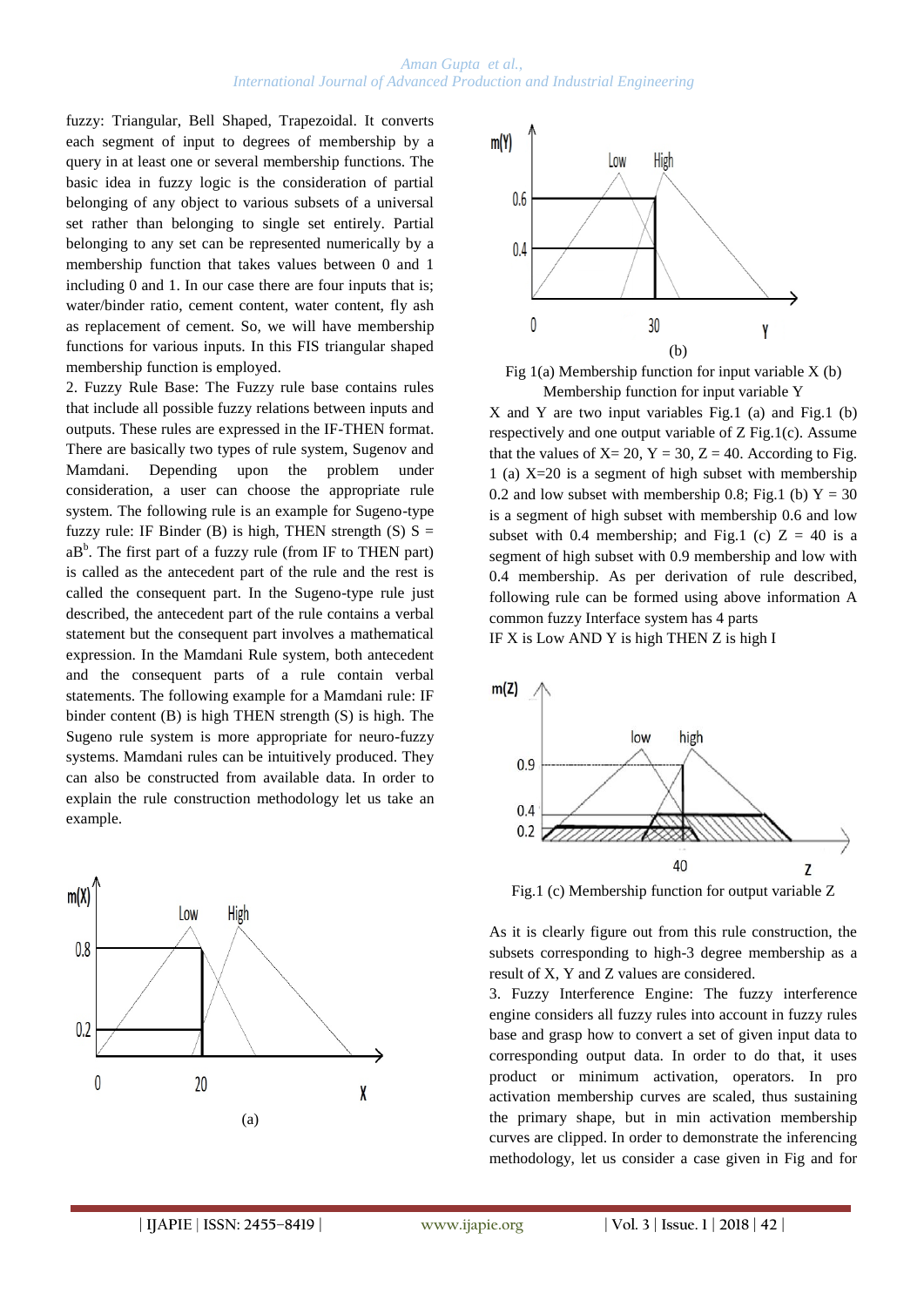fuzzy: Triangular, Bell Shaped, Trapezoidal. It converts each segment of input to degrees of membership by a query in at least one or several membership functions. The basic idea in fuzzy logic is the consideration of partial belonging of any object to various subsets of a universal set rather than belonging to single set entirely. Partial belonging to any set can be represented numerically by a membership function that takes values between 0 and 1 including 0 and 1. In our case there are four inputs that is; water/binder ratio, cement content, water content, fly ash as replacement of cement. So, we will have membership functions for various inputs. In this FIS triangular shaped membership function is employed.

2. Fuzzy Rule Base: The Fuzzy rule base contains rules that include all possible fuzzy relations between inputs and outputs. These rules are expressed in the IF-THEN format. There are basically two types of rule system, Sugenov and Mamdani. Depending upon the problem under consideration, a user can choose the appropriate rule system. The following rule is an example for Sugeno-type fuzzy rule: IF Binder (B) is high, THEN strength (S)  $S =$  $aB<sup>b</sup>$ . The first part of a fuzzy rule (from IF to THEN part) is called as the antecedent part of the rule and the rest is called the consequent part. In the Sugeno-type rule just described, the antecedent part of the rule contains a verbal statement but the consequent part involves a mathematical expression. In the Mamdani Rule system, both antecedent and the consequent parts of a rule contain verbal statements. The following example for a Mamdani rule: IF binder content (B) is high THEN strength (S) is high. The Sugeno rule system is more appropriate for neuro-fuzzy systems. Mamdani rules can be intuitively produced. They can also be constructed from available data. In order to explain the rule construction methodology let us take an example.





Fig  $1(a)$  Membership function for input variable X (b) Membership function for input variable Y

X and Y are two input variables Fig.1 (a) and Fig.1 (b) respectively and one output variable of Z Fig.1(c). Assume that the values of  $X = 20$ ,  $Y = 30$ ,  $Z = 40$ . According to Fig. 1 (a) X=20 is a segment of high subset with membership 0.2 and low subset with membership 0.8; Fig.1 (b)  $Y = 30$ is a segment of high subset with membership 0.6 and low subset with 0.4 membership; and Fig.1 (c)  $Z = 40$  is a segment of high subset with 0.9 membership and low with 0.4 membership. As per derivation of rule described, following rule can be formed using above information A common fuzzy Interface system has 4 parts IF X is Low AND Y is high THEN Z is high I



Fig.1 (c) Membership function for output variable Z

As it is clearly figure out from this rule construction, the subsets corresponding to high-3 degree membership as a result of X, Y and Z values are considered.

3. Fuzzy Interference Engine: The fuzzy interference engine considers all fuzzy rules into account in fuzzy rules base and grasp how to convert a set of given input data to corresponding output data. In order to do that, it uses product or minimum activation, operators. In pro activation membership curves are scaled, thus sustaining the primary shape, but in min activation membership curves are clipped. In order to demonstrate the inferencing methodology, let us consider a case given in Fig and for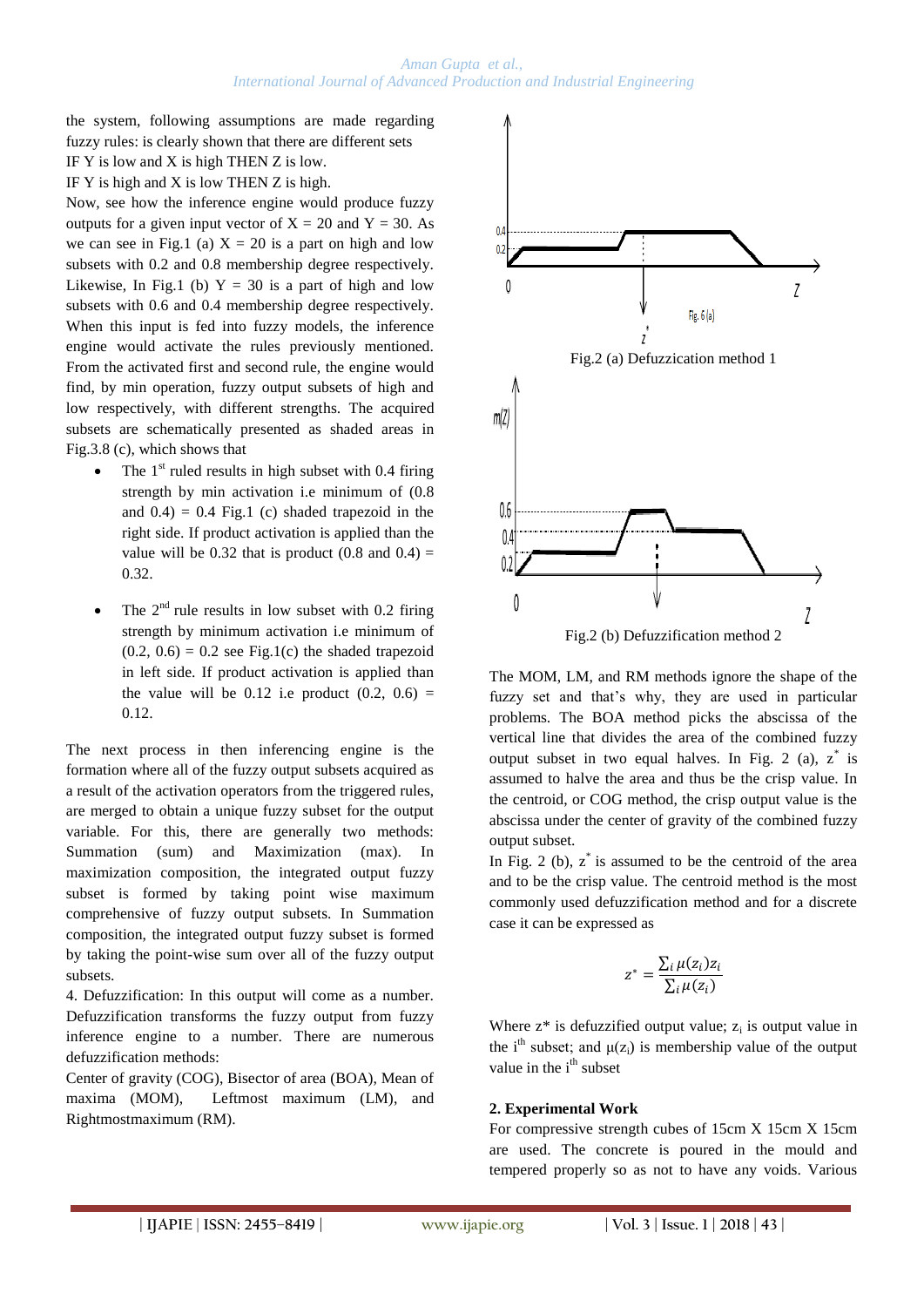the system, following assumptions are made regarding fuzzy rules: is clearly shown that there are different sets IF Y is low and X is high THEN Z is low.

IF Y is high and X is low THEN Z is high.

Now, see how the inference engine would produce fuzzy outputs for a given input vector of  $X = 20$  and  $Y = 30$ . As we can see in Fig.1 (a)  $X = 20$  is a part on high and low subsets with 0.2 and 0.8 membership degree respectively. Likewise, In Fig.1 (b)  $Y = 30$  is a part of high and low subsets with 0.6 and 0.4 membership degree respectively. When this input is fed into fuzzy models, the inference engine would activate the rules previously mentioned. From the activated first and second rule, the engine would find, by min operation, fuzzy output subsets of high and low respectively, with different strengths. The acquired subsets are schematically presented as shaded areas in Fig.3.8 (c), which shows that

- The  $1<sup>st</sup>$  ruled results in high subset with 0.4 firing strength by min activation i.e minimum of (0.8 and  $0.4$ ) = 0.4 Fig.1 (c) shaded trapezoid in the right side. If product activation is applied than the value will be  $0.32$  that is product  $(0.8 \text{ and } 0.4)$  = 0.32.
- The  $2<sup>nd</sup>$  rule results in low subset with 0.2 firing strength by minimum activation i.e minimum of  $(0.2, 0.6) = 0.2$  see Fig.1(c) the shaded trapezoid in left side. If product activation is applied than the value will be 0.12 i.e product  $(0.2, 0.6)$  = 0.12.

The next process in then inferencing engine is the formation where all of the fuzzy output subsets acquired as a result of the activation operators from the triggered rules, are merged to obtain a unique fuzzy subset for the output variable. For this, there are generally two methods: Summation (sum) and Maximization (max). In maximization composition, the integrated output fuzzy subset is formed by taking point wise maximum comprehensive of fuzzy output subsets. In Summation composition, the integrated output fuzzy subset is formed by taking the point-wise sum over all of the fuzzy output subsets.

4. Defuzzification: In this output will come as a number. Defuzzification transforms the fuzzy output from fuzzy inference engine to a number. There are numerous defuzzification methods:

Center of gravity (COG), Bisector of area (BOA), Mean of maxima (MOM), Leftmost maximum (LM), and Rightmostmaximum (RM).



The MOM, LM, and RM methods ignore the shape of the fuzzy set and that's why, they are used in particular problems. The BOA method picks the abscissa of the vertical line that divides the area of the combined fuzzy output subset in two equal halves. In Fig. 2 (a), z\* is assumed to halve the area and thus be the crisp value. In the centroid, or COG method, the crisp output value is the abscissa under the center of gravity of the combined fuzzy output subset.

In Fig. 2 (b),  $z^*$  is assumed to be the centroid of the area and to be the crisp value. The centroid method is the most commonly used defuzzification method and for a discrete case it can be expressed as

$$
z^* = \frac{\sum_i \mu(z_i) z_i}{\sum_i \mu(z_i)}
$$

Where  $z^*$  is defuzzified output value;  $z_i$  is output value in the i<sup>th</sup> subset; and  $\mu(z_i)$  is membership value of the output value in the  $i<sup>th</sup>$  subset

## **2. Experimental Work**

For compressive strength cubes of 15cm X 15cm X 15cm are used. The concrete is poured in the mould and tempered properly so as not to have any voids. Various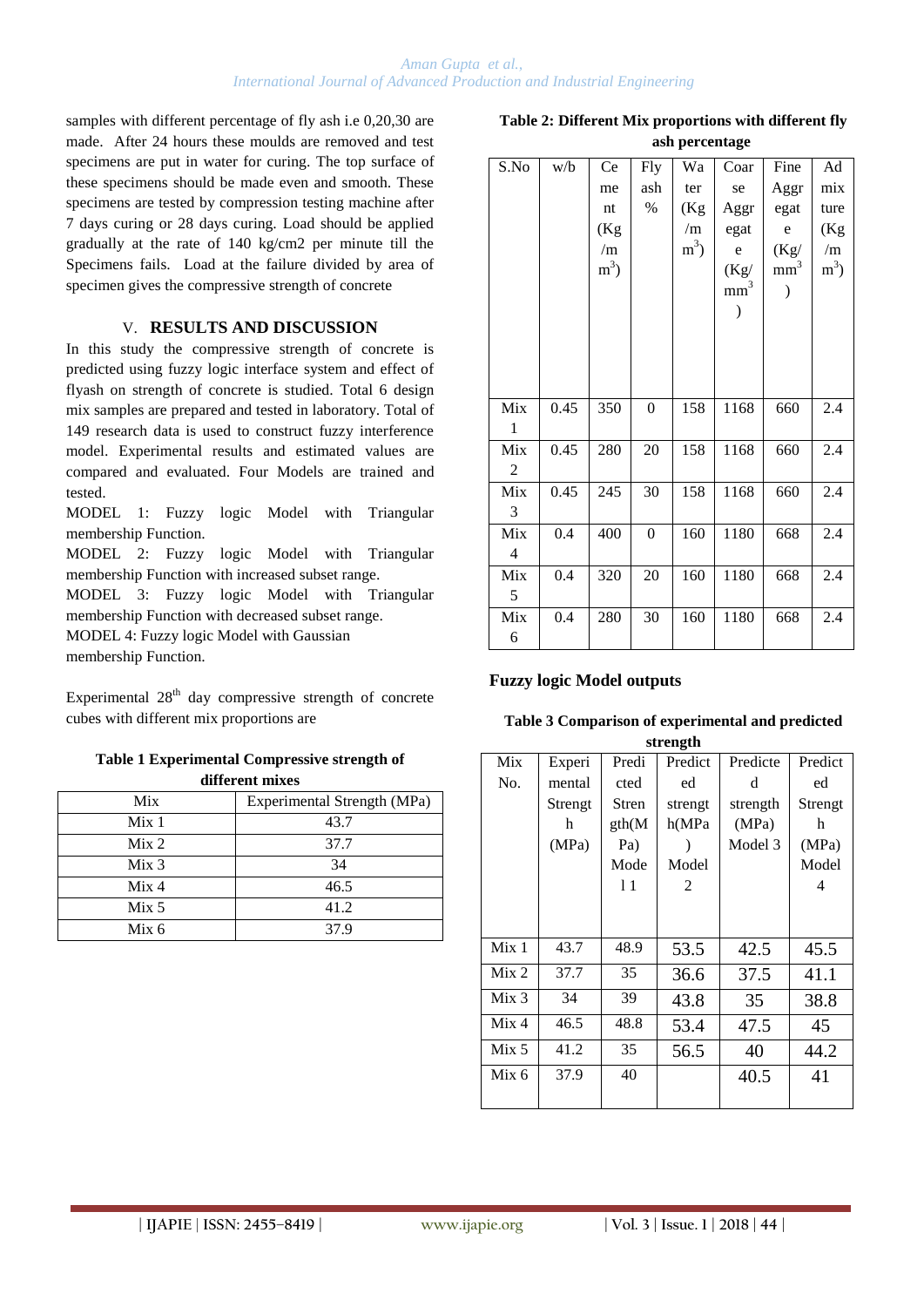samples with different percentage of fly ash i.e 0,20,30 are made. After 24 hours these moulds are removed and test specimens are put in water for curing. The top surface of these specimens should be made even and smooth. These specimens are tested by compression testing machine after 7 days curing or 28 days curing. Load should be applied gradually at the rate of 140 kg/cm2 per minute till the Specimens fails. Load at the failure divided by area of specimen gives the compressive strength of concrete

## V. **RESULTS AND DISCUSSION**

In this study the compressive strength of concrete is predicted using fuzzy logic interface system and effect of flyash on strength of concrete is studied. Total 6 design mix samples are prepared and tested in laboratory. Total of 149 research data is used to construct fuzzy interference model. Experimental results and estimated values are compared and evaluated. Four Models are trained and tested.

MODEL 1: Fuzzy logic Model with Triangular membership Function.

MODEL 2: Fuzzy logic Model with Triangular membership Function with increased subset range.

MODEL 3: Fuzzy logic Model with Triangular membership Function with decreased subset range.

MODEL 4: Fuzzy logic Model with Gaussian

membership Function.

Experimental  $28<sup>th</sup>$  day compressive strength of concrete cubes with different mix proportions are

## **Table 1 Experimental Compressive strength of different mixes**

| Mix              | Experimental Strength (MPa) |
|------------------|-----------------------------|
| Mix <sub>1</sub> | 43.7                        |
| Mix <sub>2</sub> | 37.7                        |
| Mix <sub>3</sub> | 34                          |
| Mix 4            | 46.5                        |
| Mix 5            | 41.2                        |
| Mix <sub>6</sub> | 37.9                        |

| Table 2: Different Mix proportions with different fly |                |  |
|-------------------------------------------------------|----------------|--|
|                                                       | ash percentage |  |

| S.No | w/b  | Ce    | <b>Fly</b>       | Wa     | Coar            | Fine            | Ad    |
|------|------|-------|------------------|--------|-----------------|-----------------|-------|
|      |      | me    | ash              | ter    | se              | Aggr            | mix   |
|      |      | nt    | %                | (Kg    | Aggr            | egat            | ture  |
|      |      | (Kg   |                  | /m     | egat            | $\mathbf e$     | (Kg   |
|      |      | /m    |                  | $m3$ ) | $\rm e$         | (Kg/            | /m    |
|      |      | $m^3$ |                  |        | (Kg)            | mm <sup>3</sup> | $m^3$ |
|      |      |       |                  |        | mm <sup>3</sup> |                 |       |
|      |      |       |                  |        |                 |                 |       |
|      |      |       |                  |        |                 |                 |       |
|      |      |       |                  |        |                 |                 |       |
|      |      |       |                  |        |                 |                 |       |
|      |      |       |                  |        |                 |                 |       |
| Mix  | 0.45 | 350   | $\boldsymbol{0}$ | 158    | 1168            | 660             | 2.4   |
| 1    |      |       |                  |        |                 |                 |       |
| Mix  | 0.45 | 280   | $20\,$           | 158    | 1168            | 660             | 2.4   |
| 2    |      |       |                  |        |                 |                 |       |
| Mix  | 0.45 | 245   | 30               | 158    | 1168            | 660             | 2.4   |
| 3    |      |       |                  |        |                 |                 |       |
| Mix  | 0.4  | 400   | $\boldsymbol{0}$ | 160    | 1180            | 668             | 2.4   |
| 4    |      |       |                  |        |                 |                 |       |
| Mix  | 0.4  | 320   | $20\,$           | 160    | 1180            | 668             | 2.4   |
| 5    |      |       |                  |        |                 |                 |       |
| Mix  | 0.4  | 280   | 30               | 160    | 1180            | 668             | 2.4   |
| 6    |      |       |                  |        |                 |                 |       |

## **Fuzzy logic Model outputs**

| Table 3 Comparison of experimental and predicted |
|--------------------------------------------------|
| strength                                         |

| $\mathbf{m}$ on $\mathbf{m}$ |         |        |         |          |         |
|------------------------------|---------|--------|---------|----------|---------|
| Mix                          | Experi  | Predi  | Predict | Predicte | Predict |
| No.                          | mental  | cted   | ed      | d        | ed      |
|                              | Strengt | Stren  | strengt | strength | Strengt |
|                              | h       | gth(M) | h(MPa)  | (MPa)    | h       |
|                              | (MPa)   | Pa)    |         | Model 3  | (MPa)   |
|                              |         | Mode   | Model   |          | Model   |
|                              |         | 11     | 2       |          | 4       |
|                              |         |        |         |          |         |
|                              |         |        |         |          |         |
| Mix 1                        | 43.7    | 48.9   | 53.5    | 42.5     | 45.5    |
| Mix <sub>2</sub>             | 37.7    | 35     | 36.6    | 37.5     | 41.1    |
| Mix <sub>3</sub>             | 34      | 39     | 43.8    | 35       | 38.8    |
| Mix 4                        | 46.5    | 48.8   | 53.4    | 47.5     | 45      |
| Mix 5                        | 41.2    | 35     | 56.5    | 40       | 44.2    |
| Mix 6                        | 37.9    | 40     |         | 40.5     | 41      |
|                              |         |        |         |          |         |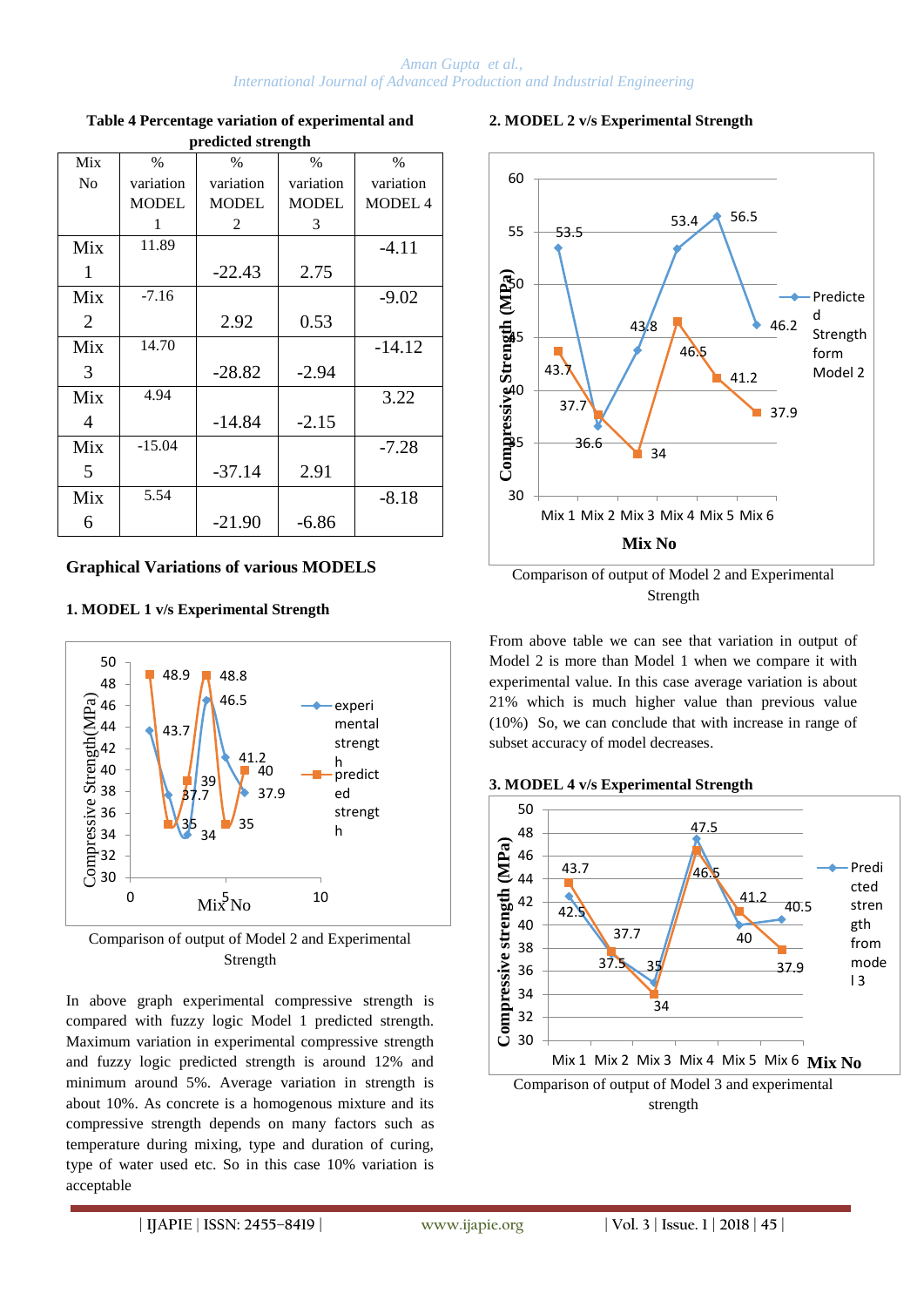| Mix | $\%$         | $\%$         | $\%$         | $\%$      |  |  |  |
|-----|--------------|--------------|--------------|-----------|--|--|--|
| No  | variation    | variation    | variation    | variation |  |  |  |
|     | <b>MODEL</b> | <b>MODEL</b> | <b>MODEL</b> | MODEL 4   |  |  |  |
|     | 1            | 2            | 3            |           |  |  |  |
| Mix | 11.89        |              |              | $-4.11$   |  |  |  |
| 1   |              | $-22.43$     | 2.75         |           |  |  |  |
| Mix | $-7.16$      |              |              | $-9.02$   |  |  |  |
| 2   |              | 2.92         | 0.53         |           |  |  |  |
| Mix | 14.70        |              |              | $-14.12$  |  |  |  |
| 3   |              | $-28.82$     | $-2.94$      |           |  |  |  |
| Mix | 4.94         |              |              | 3.22      |  |  |  |
| 4   |              | $-14.84$     | $-2.15$      |           |  |  |  |
| Mix | $-15.04$     |              |              | $-7.28$   |  |  |  |
| 5   |              | $-37.14$     | 2.91         |           |  |  |  |
| Mix | 5.54         |              |              | $-8.18$   |  |  |  |
| 6   |              | $-21.90$     | $-6.86$      |           |  |  |  |

#### **Table 4 Percentage variation of experimental and predicted strength**

## **Graphical Variations of various MODELS**

## **1. MODEL 1 v/s Experimental Strength**



Comparison of output of Model 2 and Experimental Strength

In above graph experimental compressive strength is compared with fuzzy logic Model 1 predicted strength. Maximum variation in experimental compressive strength and fuzzy logic predicted strength is around 12% and minimum around 5%. Average variation in strength is about 10%. As concrete is a homogenous mixture and its compressive strength depends on many factors such as temperature during mixing, type and duration of curing, type of water used etc. So in this case 10% variation is acceptable

## **2. MODEL 2 v/s Experimental Strength**



Comparison of output of Model 2 and Experimental Strength

From above table we can see that variation in output of Model 2 is more than Model 1 when we compare it with experimental value. In this case average variation is about 21% which is much higher value than previous value (10%) So, we can conclude that with increase in range of subset accuracy of model decreases.

#### **3. MODEL 4 v/s Experimental Strength**

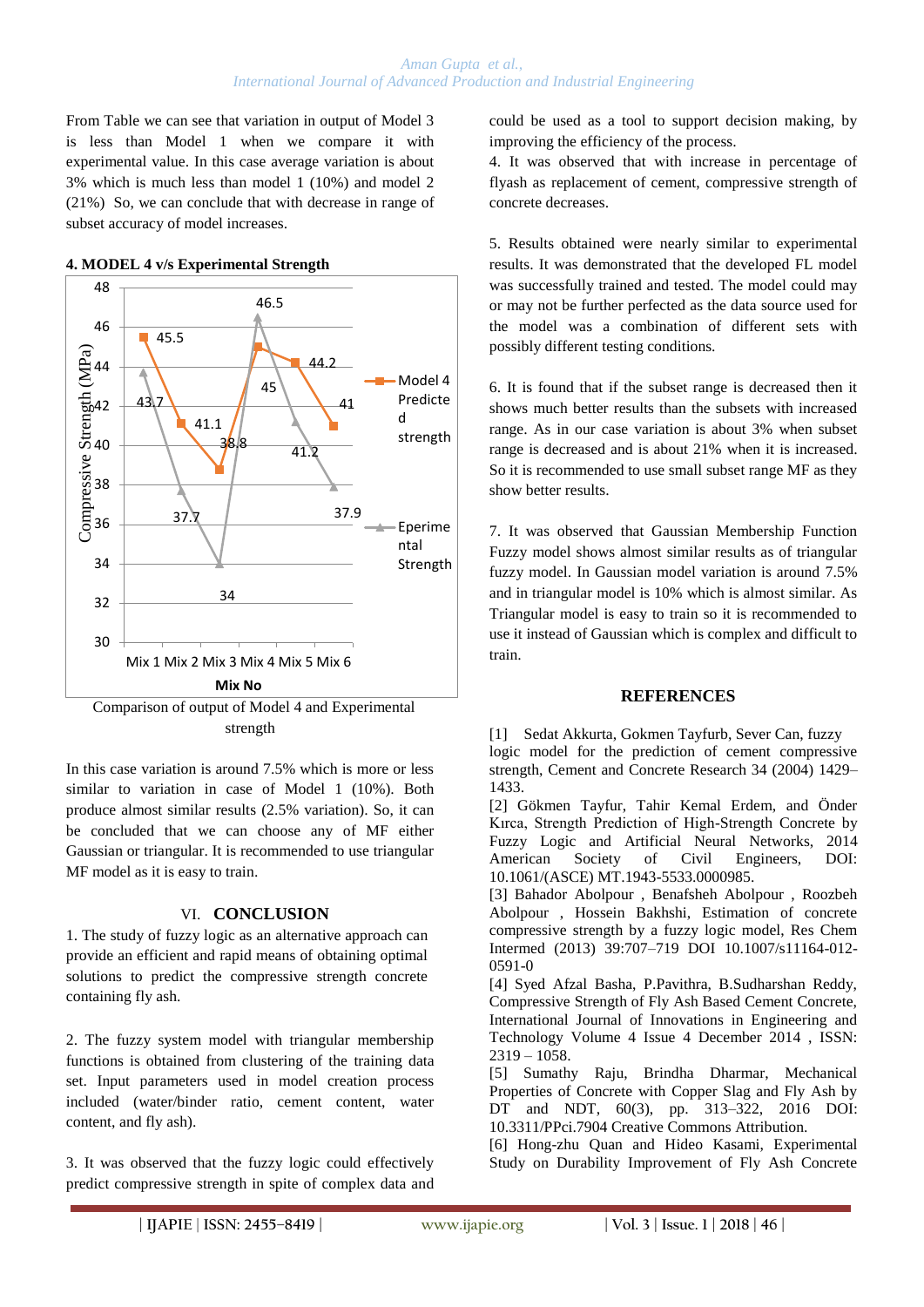From Table we can see that variation in output of Model 3 is less than Model 1 when we compare it with experimental value. In this case average variation is about 3% which is much less than model 1 (10%) and model 2 (21%) So, we can conclude that with decrease in range of subset accuracy of model increases.



#### **4. MODEL 4 v/s Experimental Strength**

strength

In this case variation is around 7.5% which is more or less similar to variation in case of Model 1 (10%). Both produce almost similar results (2.5% variation). So, it can be concluded that we can choose any of MF either Gaussian or triangular. It is recommended to use triangular MF model as it is easy to train.

## VI. **CONCLUSION**

1. The study of fuzzy logic as an alternative approach can provide an efficient and rapid means of obtaining optimal solutions to predict the compressive strength concrete containing fly ash.

2. The fuzzy system model with triangular membership functions is obtained from clustering of the training data set. Input parameters used in model creation process included (water/binder ratio, cement content, water content, and fly ash).

3. It was observed that the fuzzy logic could effectively predict compressive strength in spite of complex data and could be used as a tool to support decision making, by improving the efficiency of the process.

4. It was observed that with increase in percentage of flyash as replacement of cement, compressive strength of concrete decreases.

5. Results obtained were nearly similar to experimental results. It was demonstrated that the developed FL model was successfully trained and tested. The model could may or may not be further perfected as the data source used for the model was a combination of different sets with possibly different testing conditions.

6. It is found that if the subset range is decreased then it shows much better results than the subsets with increased range. As in our case variation is about 3% when subset range is decreased and is about 21% when it is increased. So it is recommended to use small subset range MF as they show better results.

7. It was observed that Gaussian Membership Function Fuzzy model shows almost similar results as of triangular fuzzy model. In Gaussian model variation is around 7.5% and in triangular model is 10% which is almost similar. As Triangular model is easy to train so it is recommended to use it instead of Gaussian which is complex and difficult to train.

## **REFERENCES**

[1] Sedat Akkurta, Gokmen Tayfurb, Sever Can, fuzzy logic model for the prediction of cement compressive strength, Cement and Concrete Research 34 (2004) 1429– 1433.

[2] Gökmen Tayfur, Tahir Kemal Erdem, and Önder Kırca, Strength Prediction of High-Strength Concrete by Fuzzy Logic and Artificial Neural Networks, 2014 American Society of Civil Engineers, DOI: 10.1061/(ASCE) MT.1943-5533.0000985.

[3] Bahador Abolpour , Benafsheh Abolpour , Roozbeh Abolpour , Hossein Bakhshi, Estimation of concrete compressive strength by a fuzzy logic model, Res Chem Intermed (2013) 39:707–719 DOI 10.1007/s11164-012- 0591-0

[4] Syed Afzal Basha, P.Pavithra, B.Sudharshan Reddy, Compressive Strength of Fly Ash Based Cement Concrete, International Journal of Innovations in Engineering and Technology Volume 4 Issue 4 December 2014 , ISSN:  $2319 - 1058$ .

[5] Sumathy Raju, Brindha Dharmar, Mechanical Properties of Concrete with Copper Slag and Fly Ash by DT and NDT, 60(3), pp. 313–322, 2016 DOI: 10.3311/PPci.7904 Creative Commons Attribution.

[6] Hong-zhu Quan and Hideo Kasami, Experimental Study on Durability Improvement of Fly Ash Concrete